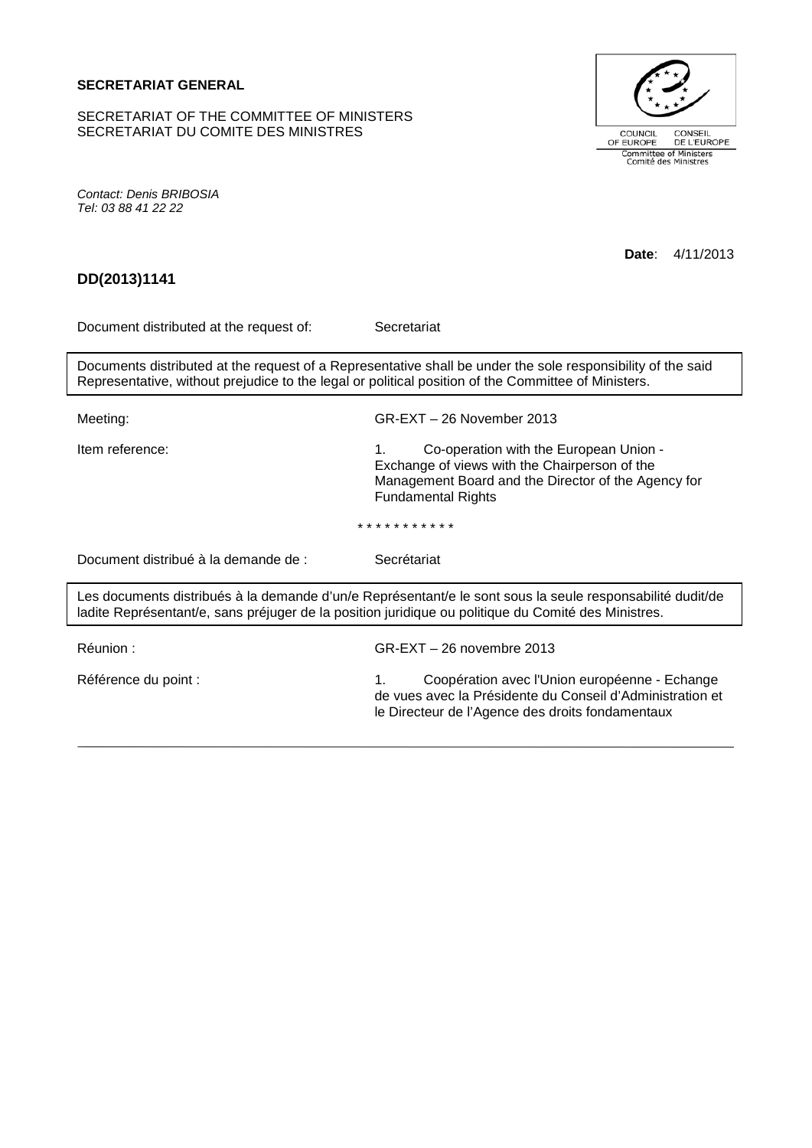# **SECRETARIAT GENERAL**

SECRETARIAT OF THE COMMITTEE OF MINISTERS SECRETARIAT DU COMITE DES MINISTRES



*Contact: Denis BRIBOSIA Tel: 03 88 41 22 22*

| DD(2013)1141                                                                                                                                                                                                       | 4/11/2013<br>Date:                                                                                                                                                                            |
|--------------------------------------------------------------------------------------------------------------------------------------------------------------------------------------------------------------------|-----------------------------------------------------------------------------------------------------------------------------------------------------------------------------------------------|
|                                                                                                                                                                                                                    |                                                                                                                                                                                               |
| Document distributed at the request of:                                                                                                                                                                            | Secretariat                                                                                                                                                                                   |
| Documents distributed at the request of a Representative shall be under the sole responsibility of the said<br>Representative, without prejudice to the legal or political position of the Committee of Ministers. |                                                                                                                                                                                               |
| Meeting:                                                                                                                                                                                                           | $GR-EXT - 26$ November 2013                                                                                                                                                                   |
| Item reference:                                                                                                                                                                                                    | 1 <sub>1</sub><br>Co-operation with the European Union -<br>Exchange of views with the Chairperson of the<br>Management Board and the Director of the Agency for<br><b>Fundamental Rights</b> |
| * * * * * * * * * * *                                                                                                                                                                                              |                                                                                                                                                                                               |
| Document distribué à la demande de :                                                                                                                                                                               | Secrétariat                                                                                                                                                                                   |
| Les documents distribués à la demande d'un/e Représentant/e le sont sous la seule responsabilité dudit/de<br>ladite Représentant/e, sans préjuger de la position juridique ou politique du Comité des Ministres.   |                                                                                                                                                                                               |
| Réunion :                                                                                                                                                                                                          | $GR-EXT - 26$ novembre 2013                                                                                                                                                                   |
| Référence du point :                                                                                                                                                                                               | Coopération avec l'Union européenne - Echange<br>1.<br>de vues avec la Présidente du Conseil d'Administration et<br>le Directeur de l'Agence des droits fondamentaux                          |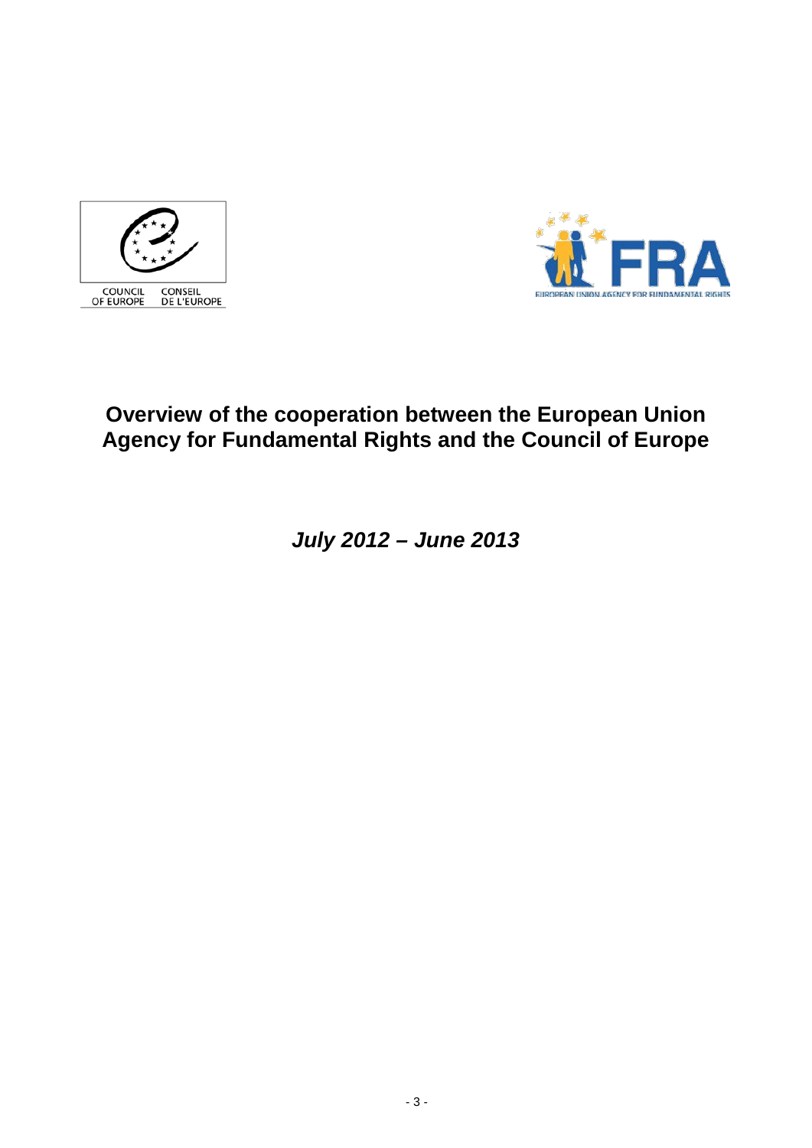



# **Overview of the cooperation between the European Union Agency for Fundamental Rights and the Council of Europe**

*July 2012 – June 2013*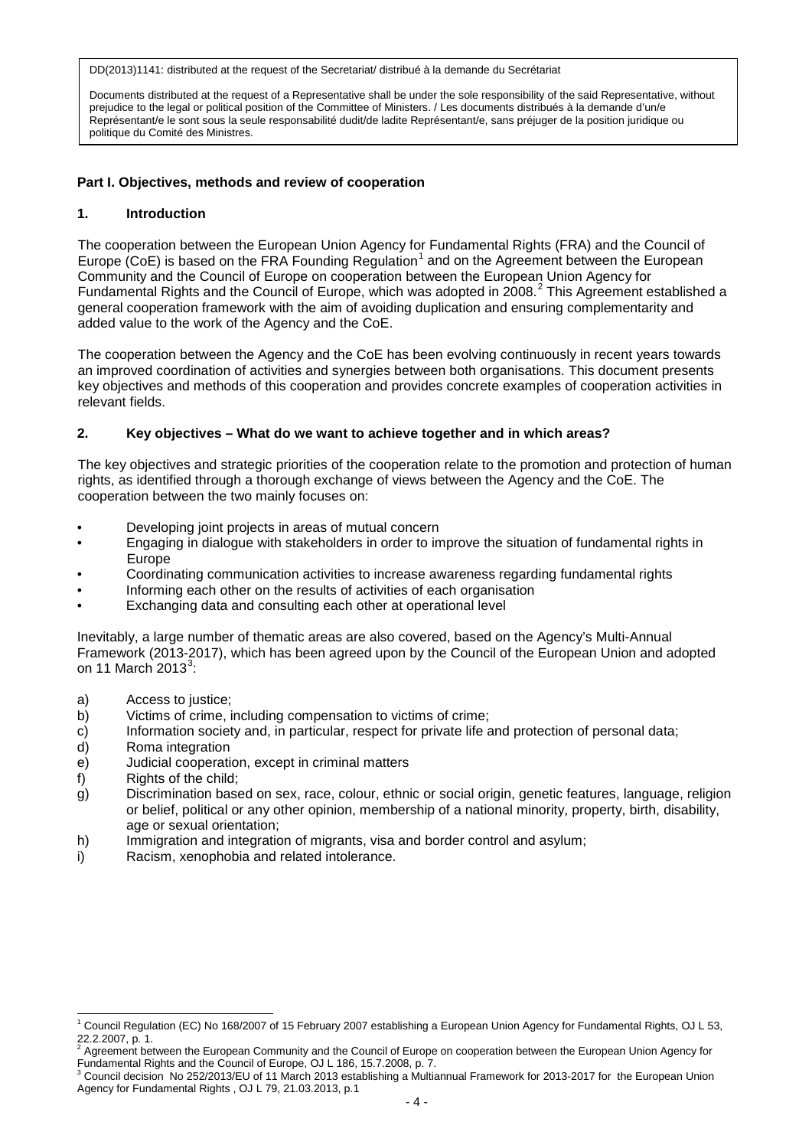Documents distributed at the request of a Representative shall be under the sole responsibility of the said Representative, without prejudice to the legal or political position of the Committee of Ministers. / Les documents distribués à la demande d'un/e Représentant/e le sont sous la seule responsabilité dudit/de ladite Représentant/e, sans préjuger de la position juridique ou politique du Comité des Ministres.

## **Part I. Objectives, methods and review of cooperation**

### **1. Introduction**

The cooperation between the European Union Agency for Fundamental Rights (FRA) and the Council of Europe (CoE) is based on the FRA Founding Regulation<sup>[1](#page-3-0)</sup> and on the Agreement between the European Community and the Council of Europe on cooperation between the European Union Agency for Fundamental Rights and the Council of Europe, which was adopted in [2](#page-3-1)008.<sup>2</sup> This Agreement established a general cooperation framework with the aim of avoiding duplication and ensuring complementarity and added value to the work of the Agency and the CoE.

The cooperation between the Agency and the CoE has been evolving continuously in recent years towards an improved coordination of activities and synergies between both organisations. This document presents key objectives and methods of this cooperation and provides concrete examples of cooperation activities in relevant fields.

## **2. Key objectives – What do we want to achieve together and in which areas?**

The key objectives and strategic priorities of the cooperation relate to the promotion and protection of human rights, as identified through a thorough exchange of views between the Agency and the CoE. The cooperation between the two mainly focuses on:

- Developing joint projects in areas of mutual concern
- Engaging in dialogue with stakeholders in order to improve the situation of fundamental rights in Europe
- Coordinating communication activities to increase awareness regarding fundamental rights
- Informing each other on the results of activities of each organisation
- Exchanging data and consulting each other at operational level

Inevitably, a large number of thematic areas are also covered, based on the Agency's Multi-Annual Framework (2013-2017), which has been agreed upon by the Council of the European Union and adopted on 11 March 201[3](#page-3-2) $^3$ :

- a) Access to justice;
- b) Victims of crime, including compensation to victims of crime;
- c) Information society and, in particular, respect for private life and protection of personal data;
- d) Roma integration
- e) Judicial cooperation, except in criminal matters
- f) Rights of the child;
- g) Discrimination based on sex, race, colour, ethnic or social origin, genetic features, language, religion or belief, political or any other opinion, membership of a national minority, property, birth, disability, age or sexual orientation;
- h) Immigration and integration of migrants, visa and border control and asylum;
- i) Racism, xenophobia and related intolerance.

<span id="page-3-0"></span> $^1$  Council Regulation (EC) No 168/2007 of 15 February 2007 establishing a European Union Agency for Fundamental Rights, OJ L 53, 22.2.2007, p. 1.  $\overline{1}$ 

<span id="page-3-1"></span><sup>2</sup> Agreement between the European Community and the Council of Europe on cooperation between the European Union Agency for

<span id="page-3-2"></span>Fundamental Rights and the Council of Europe, OJ L 186, 15.7.2008, p. 7.<br><sup>3</sup> Council decision No 252/2013/EU of 11 March 2013 establishing a Multiannual Framework for 2013-2017 for the European Union Agency for Fundamental Rights , OJ L 79, 21.03.2013, p.1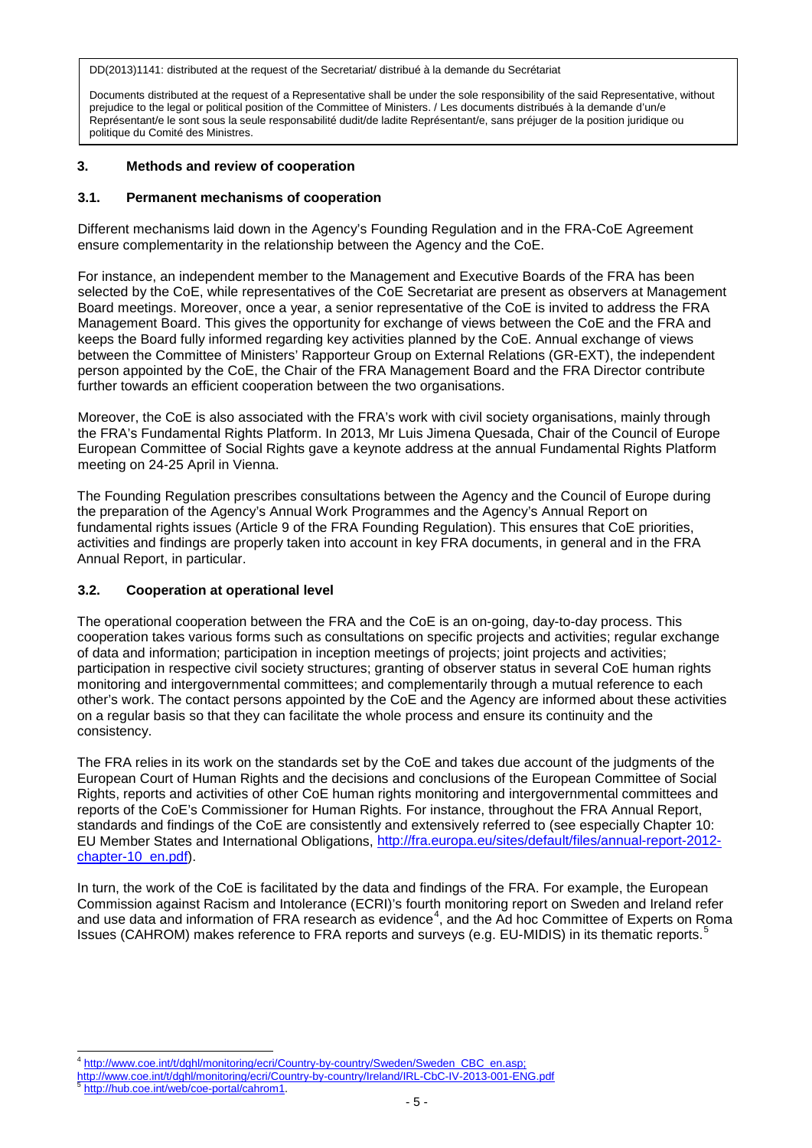Documents distributed at the request of a Representative shall be under the sole responsibility of the said Representative, without prejudice to the legal or political position of the Committee of Ministers. / Les documents distribués à la demande d'un/e Représentant/e le sont sous la seule responsabilité dudit/de ladite Représentant/e, sans préjuger de la position juridique ou politique du Comité des Ministres.

# **3. Methods and review of cooperation**

### **3.1. Permanent mechanisms of cooperation**

Different mechanisms laid down in the Agency's Founding Regulation and in the FRA-CoE Agreement ensure complementarity in the relationship between the Agency and the CoE.

For instance, an independent member to the Management and Executive Boards of the FRA has been selected by the CoE, while representatives of the CoE Secretariat are present as observers at Management Board meetings. Moreover, once a year, a senior representative of the CoE is invited to address the FRA Management Board. This gives the opportunity for exchange of views between the CoE and the FRA and keeps the Board fully informed regarding key activities planned by the CoE. Annual exchange of views between the Committee of Ministers' Rapporteur Group on External Relations (GR-EXT), the independent person appointed by the CoE, the Chair of the FRA Management Board and the FRA Director contribute further towards an efficient cooperation between the two organisations.

Moreover, the CoE is also associated with the FRA's work with civil society organisations, mainly through the FRA's Fundamental Rights Platform. In 2013, Mr Luis Jimena Quesada, Chair of the Council of Europe European Committee of Social Rights gave a keynote address at the annual Fundamental Rights Platform meeting on 24-25 April in Vienna.

The Founding Regulation prescribes consultations between the Agency and the Council of Europe during the preparation of the Agency's Annual Work Programmes and the Agency's Annual Report on fundamental rights issues (Article 9 of the FRA Founding Regulation). This ensures that CoE priorities, activities and findings are properly taken into account in key FRA documents, in general and in the FRA Annual Report, in particular.

# **3.2. Cooperation at operational level**

The operational cooperation between the FRA and the CoE is an on-going, day-to-day process. This cooperation takes various forms such as consultations on specific projects and activities; regular exchange of data and information; participation in inception meetings of projects; joint projects and activities; participation in respective civil society structures; granting of observer status in several CoE human rights monitoring and intergovernmental committees; and complementarily through a mutual reference to each other's work. The contact persons appointed by the CoE and the Agency are informed about these activities on a regular basis so that they can facilitate the whole process and ensure its continuity and the consistency.

The FRA relies in its work on the standards set by the CoE and takes due account of the judgments of the European Court of Human Rights and the decisions and conclusions of the European Committee of Social Rights, reports and activities of other CoE human rights monitoring and intergovernmental committees and reports of the CoE's Commissioner for Human Rights. For instance, throughout the FRA Annual Report, standards and findings of the CoE are consistently and extensively referred to (see especially Chapter 10: EU Member States and International Obligations, [http://fra.europa.eu/sites/default/files/annual-report-2012](http://fra.europa.eu/sites/default/files/annual-report-2012-chapter-10_en.pdf) [chapter-10\\_en.pdf\)](http://fra.europa.eu/sites/default/files/annual-report-2012-chapter-10_en.pdf).

In turn, the work of the CoE is facilitated by the data and findings of the FRA. For example, the European Commission against Racism and Intolerance (ECRI)'s fourth monitoring report on Sweden and Ireland refer and use data and information of FRA research as evidence<sup>[4](#page-4-0)</sup>, and the Ad hoc Committee of Experts on Roma Issues (CAHROM) makes reference to FRA reports and surveys (e.g. EU-MIDIS) in its thematic reports.<sup>[5](#page-4-1)</sup>

<sup>&</sup>lt;sup>4</sup> http://www.coe.int/t/dghl/monitoring/ecri/Country-by-country/Sweden/Sweden\_CBC\_en.asp; Ę

<span id="page-4-0"></span>http://www.coe.int/t/dghl/monitoring/ecri/Country-by-country/Ireland/IRL-CbC-IV-2013-001-ENG.pdf<br>
<sup>5</sup> [http://hub.coe.int/web/coe-portal/cahrom1.](http://hub.coe.int/web/coe-portal/cahrom1)

<span id="page-4-1"></span>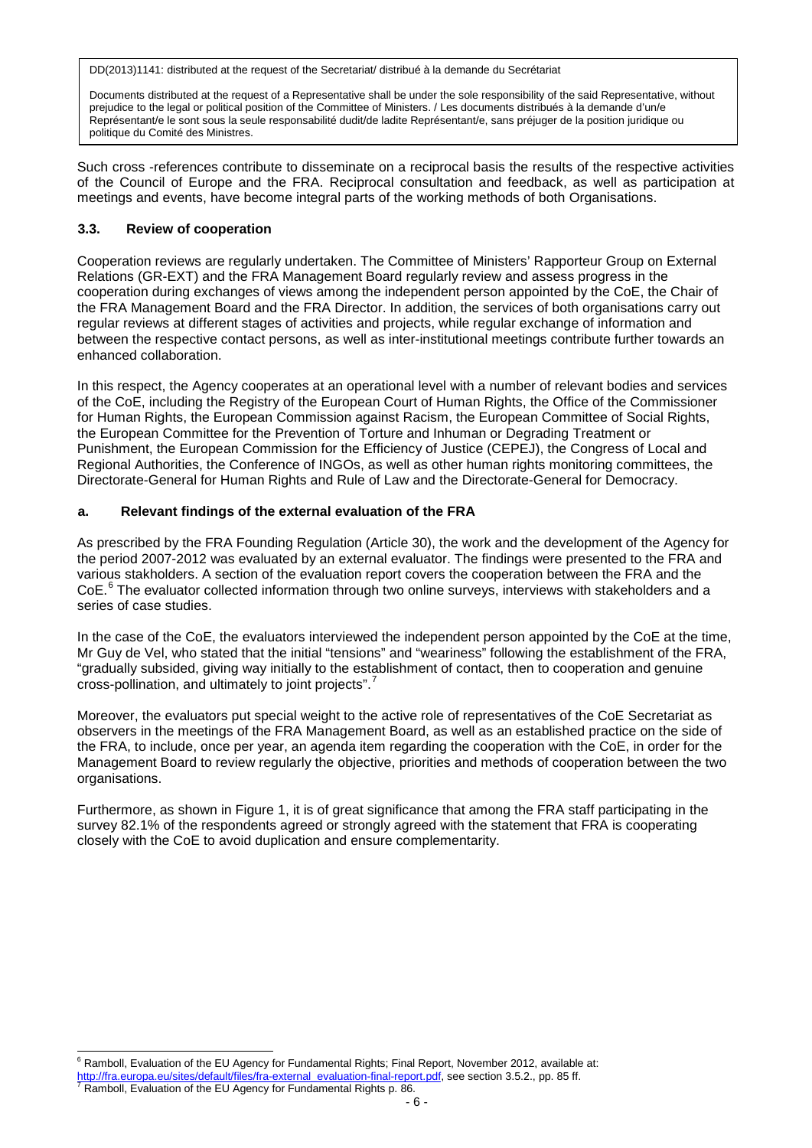Documents distributed at the request of a Representative shall be under the sole responsibility of the said Representative, without prejudice to the legal or political position of the Committee of Ministers. / Les documents distribués à la demande d'un/e Représentant/e le sont sous la seule responsabilité dudit/de ladite Représentant/e, sans préjuger de la position juridique ou politique du Comité des Ministres.

Such cross -references contribute to disseminate on a reciprocal basis the results of the respective activities of the Council of Europe and the FRA. Reciprocal consultation and feedback, as well as participation at meetings and events, have become integral parts of the working methods of both Organisations.

# **3.3. Review of cooperation**

Cooperation reviews are regularly undertaken. The Committee of Ministers' Rapporteur Group on External Relations (GR-EXT) and the FRA Management Board regularly review and assess progress in the cooperation during exchanges of views among the independent person appointed by the CoE, the Chair of the FRA Management Board and the FRA Director. In addition, the services of both organisations carry out regular reviews at different stages of activities and projects, while regular exchange of information and between the respective contact persons, as well as inter-institutional meetings contribute further towards an enhanced collaboration.

In this respect, the Agency cooperates at an operational level with a number of relevant bodies and services of the CoE, including the Registry of the European Court of Human Rights, the Office of the Commissioner for Human Rights, the European Commission against Racism, the European Committee of Social Rights, the European Committee for the Prevention of Torture and Inhuman or Degrading Treatment or Punishment, the European Commission for the Efficiency of Justice (CEPEJ), the Congress of Local and Regional Authorities, the Conference of INGOs, as well as other human rights monitoring committees, the Directorate-General for Human Rights and Rule of Law and the Directorate-General for Democracy.

## **a. Relevant findings of the external evaluation of the FRA**

As prescribed by the FRA Founding Regulation (Article 30), the work and the development of the Agency for the period 2007-2012 was evaluated by an external evaluator. The findings were presented to the FRA and various stakholders. A section of the evaluation report covers the cooperation between the FRA and the CoE.<sup>[6](#page-5-0)</sup> The evaluator collected information through two online surveys, interviews with stakeholders and a series of case studies.

In the case of the CoE, the evaluators interviewed the independent person appointed by the CoE at the time, Mr Guy de Vel, who stated that the initial "tensions" and "weariness" following the establishment of the FRA, "gradually subsided, giving way initially to the establishment of contact, then to cooperation and genuine cross-pollination, and ultimately to joint projects".

Moreover, the evaluators put special weight to the active role of representatives of the CoE Secretariat as observers in the meetings of the FRA Management Board, as well as an established practice on the side of the FRA, to include, once per year, an agenda item regarding the cooperation with the CoE, in order for the Management Board to review regularly the objective, priorities and methods of cooperation between the two organisations.

Furthermore, as shown in Figure 1, it is of great significance that among the FRA staff participating in the survey 82.1% of the respondents agreed or strongly agreed with the statement that FRA is cooperating closely with the CoE to avoid duplication and ensure complementarity.

<sup>&</sup>lt;sup>6</sup> Ramboll, Evaluation of the EU Agency for Fundamental Rights; Final Report, November 2012, available at: ŧ

<span id="page-5-1"></span><span id="page-5-0"></span>[http://fra.europa.eu/sites/default/files/fra-external\\_evaluation-final-report.pdf,](http://fra.europa.eu/sites/default/files/fra-external_evaluation-final-report.pdf) see section 3.5.2., pp. 85 ff. 7 Ramboll, Evaluation of the EU Agency for Fundamental Rights p. 86.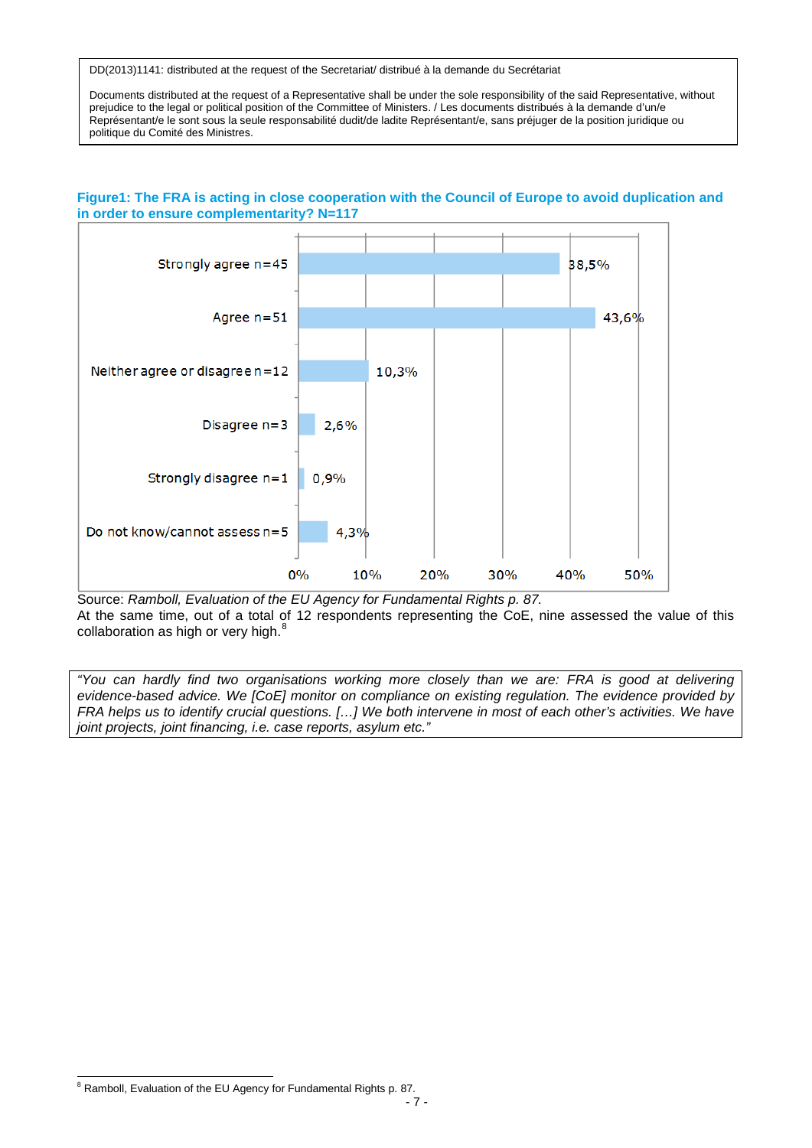Documents distributed at the request of a Representative shall be under the sole responsibility of the said Representative, without prejudice to the legal or political position of the Committee of Ministers. / Les documents distribués à la demande d'un/e Représentant/e le sont sous la seule responsabilité dudit/de ladite Représentant/e, sans préjuger de la position juridique ou politique du Comité des Ministres.



## **Figure1: The FRA is acting in close cooperation with the Council of Europe to avoid duplication and in order to ensure complementarity? N=117**

Source: *Ramboll, Evaluation of the EU Agency for Fundamental Rights p. 87.* At the same time, out of a total of 12 respondents representing the CoE, nine assessed the value of this collaboration as high or very high. $8$ 

*"You can hardly find two organisations working more closely than we are: FRA is good at delivering evidence-based advice. We [CoE] monitor on compliance on existing regulation. The evidence provided by FRA helps us to identify crucial questions. [...] We both intervene in most of each other's activities. We have joint projects, joint financing, i.e. case reports, asylum etc."*

<span id="page-6-0"></span> $8$  Ramboll, Evaluation of the EU Agency for Fundamental Rights p. 87. Ê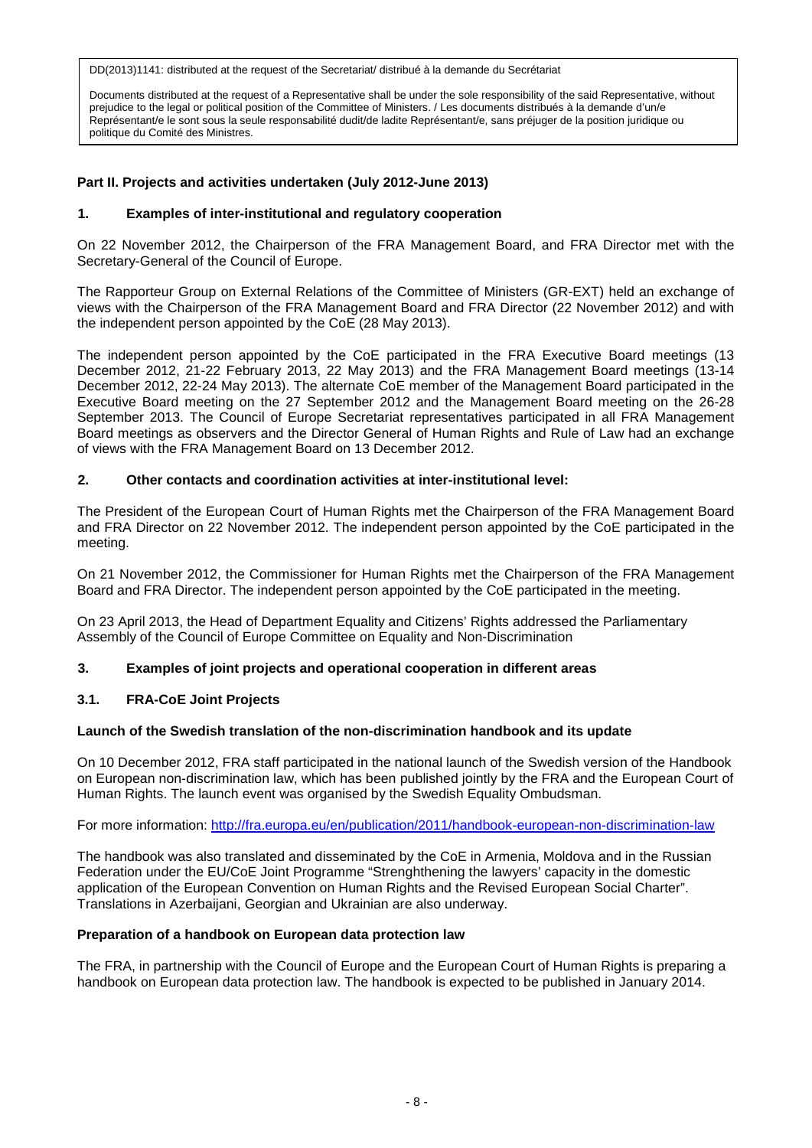Documents distributed at the request of a Representative shall be under the sole responsibility of the said Representative, without prejudice to the legal or political position of the Committee of Ministers. / Les documents distribués à la demande d'un/e Représentant/e le sont sous la seule responsabilité dudit/de ladite Représentant/e, sans préjuger de la position juridique ou politique du Comité des Ministres.

# **Part II. Projects and activities undertaken (July 2012-June 2013)**

### **1. Examples of inter-institutional and regulatory cooperation**

On 22 November 2012, the Chairperson of the FRA Management Board, and FRA Director met with the Secretary-General of the Council of Europe.

The Rapporteur Group on External Relations of the Committee of Ministers (GR-EXT) held an exchange of views with the Chairperson of the FRA Management Board and FRA Director (22 November 2012) and with the independent person appointed by the CoE (28 May 2013).

The independent person appointed by the CoE participated in the FRA Executive Board meetings (13 December 2012, 21-22 February 2013, 22 May 2013) and the FRA Management Board meetings (13-14 December 2012, 22-24 May 2013). The alternate CoE member of the Management Board participated in the Executive Board meeting on the 27 September 2012 and the Management Board meeting on the 26-28 September 2013. The Council of Europe Secretariat representatives participated in all FRA Management Board meetings as observers and the Director General of Human Rights and Rule of Law had an exchange of views with the FRA Management Board on 13 December 2012.

## **2. Other contacts and coordination activities at inter-institutional level:**

The President of the European Court of Human Rights met the Chairperson of the FRA Management Board and FRA Director on 22 November 2012. The independent person appointed by the CoE participated in the meeting.

On 21 November 2012, the Commissioner for Human Rights met the Chairperson of the FRA Management Board and FRA Director. The independent person appointed by the CoE participated in the meeting.

On 23 April 2013, the Head of Department Equality and Citizens' Rights addressed the Parliamentary Assembly of the Council of Europe Committee on Equality and Non-Discrimination

#### **3. Examples of joint projects and operational cooperation in different areas**

# **3.1. FRA-CoE Joint Projects**

#### **Launch of the Swedish translation of the non-discrimination handbook and its update**

On 10 December 2012, FRA staff participated in the national launch of the Swedish version of the Handbook on European non-discrimination law, which has been published jointly by the FRA and the European Court of Human Rights. The launch event was organised by the Swedish Equality Ombudsman.

For more information: <http://fra.europa.eu/en/publication/2011/handbook-european-non-discrimination-law>

The handbook was also translated and disseminated by the CoE in Armenia, Moldova and in the Russian Federation under the EU/CoE Joint Programme "Strenghthening the lawyers' capacity in the domestic application of the European Convention on Human Rights and the Revised European Social Charter". Translations in Azerbaijani, Georgian and Ukrainian are also underway.

#### **Preparation of a handbook on European data protection law**

The FRA, in partnership with the Council of Europe and the European Court of Human Rights is preparing a handbook on European data protection law. The handbook is expected to be published in January 2014.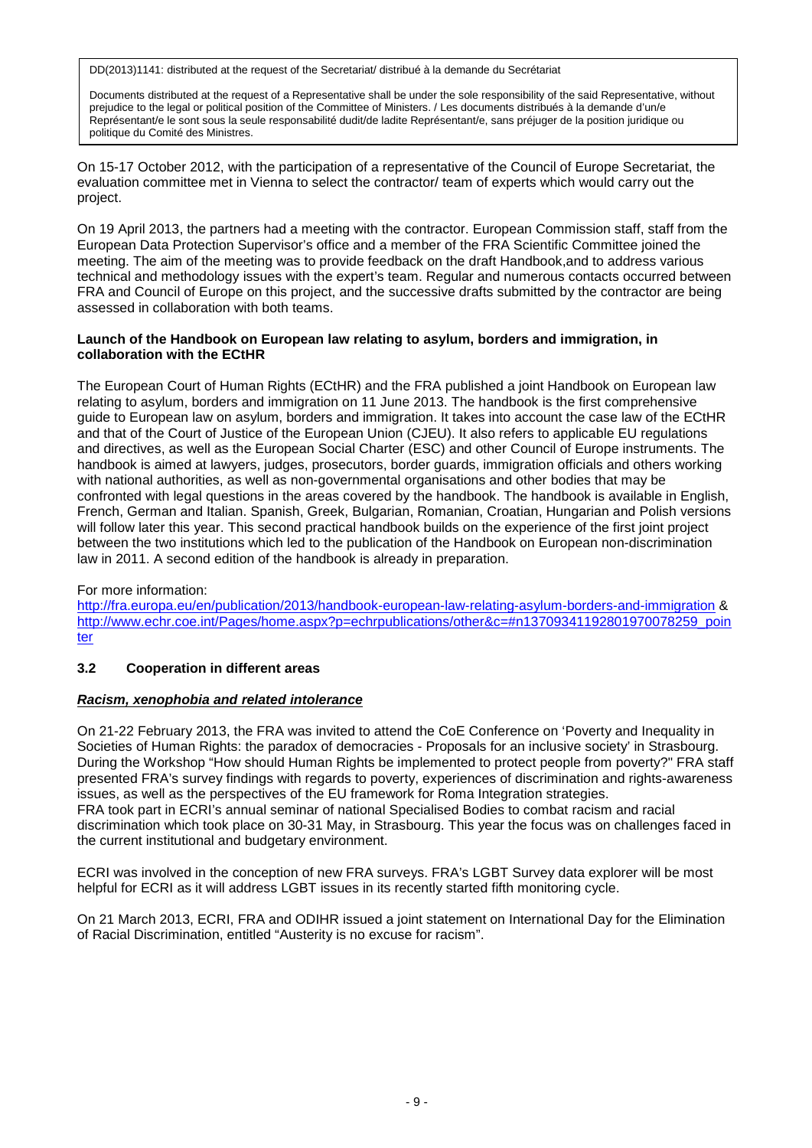Documents distributed at the request of a Representative shall be under the sole responsibility of the said Representative, without prejudice to the legal or political position of the Committee of Ministers. / Les documents distribués à la demande d'un/e Représentant/e le sont sous la seule responsabilité dudit/de ladite Représentant/e, sans préjuger de la position juridique ou politique du Comité des Ministres.

On 15-17 October 2012, with the participation of a representative of the Council of Europe Secretariat, the evaluation committee met in Vienna to select the contractor/ team of experts which would carry out the project.

On 19 April 2013, the partners had a meeting with the contractor. European Commission staff, staff from the European Data Protection Supervisor's office and a member of the FRA Scientific Committee joined the meeting. The aim of the meeting was to provide feedback on the draft Handbook,and to address various technical and methodology issues with the expert's team. Regular and numerous contacts occurred between FRA and Council of Europe on this project, and the successive drafts submitted by the contractor are being assessed in collaboration with both teams.

## **Launch of the Handbook on European law relating to asylum, borders and immigration, in collaboration with the ECtHR**

The European Court of Human Rights (ECtHR) and the FRA published a joint Handbook on European law relating to asylum, borders and immigration on 11 June 2013. The handbook is the first comprehensive guide to European law on asylum, borders and immigration. It takes into account the case law of the ECtHR and that of the Court of Justice of the European Union (CJEU). It also refers to applicable EU regulations and directives, as well as the European Social Charter (ESC) and other Council of Europe instruments. The handbook is aimed at lawyers, judges, prosecutors, border guards, immigration officials and others working with national authorities, as well as non-governmental organisations and other bodies that may be confronted with legal questions in the areas covered by the handbook. The handbook is available in English, French, German and Italian. Spanish, Greek, Bulgarian, Romanian, Croatian, Hungarian and Polish versions will follow later this year. This second practical handbook builds on the experience of the first joint project between the two institutions which led to the publication of the Handbook on European non-discrimination law in 2011. A second edition of the handbook is already in preparation.

# For more information:

<http://fra.europa.eu/en/publication/2013/handbook-european-law-relating-asylum-borders-and-immigration> & [http://www.echr.coe.int/Pages/home.aspx?p=echrpublications/other&c=#n13709341192801970078259\\_poin](http://www.echr.coe.int/Pages/home.aspx?p=echrpublications/other&c=%23n13709341192801970078259_pointer) [ter](http://www.echr.coe.int/Pages/home.aspx?p=echrpublications/other&c=%23n13709341192801970078259_pointer)

# **3.2 Cooperation in different areas**

#### *Racism, xenophobia and related intolerance*

On 21-22 February 2013, the FRA was invited to attend the CoE Conference on 'Poverty and Inequality in Societies of Human Rights: the paradox of democracies - Proposals for an inclusive society' in Strasbourg. During the Workshop "How should Human Rights be implemented to protect people from poverty?" FRA staff presented FRA's survey findings with regards to poverty, experiences of discrimination and rights-awareness issues, as well as the perspectives of the EU framework for Roma Integration strategies. FRA took part in ECRI's annual seminar of national Specialised Bodies to combat racism and racial discrimination which took place on 30-31 May, in Strasbourg. This year the focus was on challenges faced in the current institutional and budgetary environment.

ECRI was involved in the conception of new FRA surveys. FRA's LGBT Survey data explorer will be most helpful for ECRI as it will address LGBT issues in its recently started fifth monitoring cycle.

On 21 March 2013, ECRI, FRA and ODIHR issued a joint statement on International Day for the Elimination of Racial Discrimination, entitled "Austerity is no excuse for racism".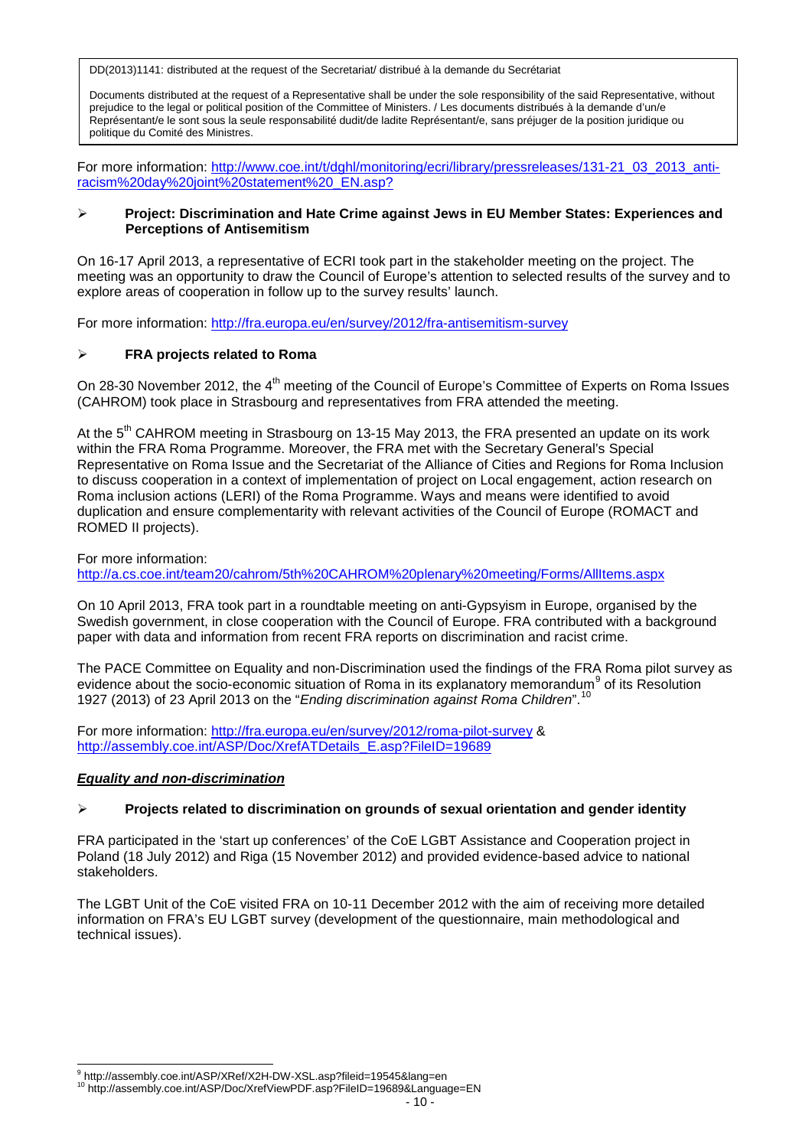Documents distributed at the request of a Representative shall be under the sole responsibility of the said Representative, without prejudice to the legal or political position of the Committee of Ministers. / Les documents distribués à la demande d'un/e Représentant/e le sont sous la seule responsabilité dudit/de ladite Représentant/e, sans préjuger de la position juridique ou politique du Comité des Ministres.

For more information: [http://www.coe.int/t/dghl/monitoring/ecri/library/pressreleases/131-21\\_03\\_2013\\_anti](http://www.coe.int/t/dghl/monitoring/ecri/library/pressreleases/131-21_03_2013_anti-racism%20day%20joint%20statement%20_EN.asp?)[racism%20day%20joint%20statement%20\\_EN.asp?](http://www.coe.int/t/dghl/monitoring/ecri/library/pressreleases/131-21_03_2013_anti-racism%20day%20joint%20statement%20_EN.asp?)

#### **Project: Discrimination and Hate Crime against Jews in EU Member States: Experiences and Perceptions of Antisemitism**

On 16-17 April 2013, a representative of ECRI took part in the stakeholder meeting on the project. The meeting was an opportunity to draw the Council of Europe's attention to selected results of the survey and to explore areas of cooperation in follow up to the survey results' launch.

For more information: <http://fra.europa.eu/en/survey/2012/fra-antisemitism-survey>

## **FRA projects related to Roma**

On 28-30 November 2012, the 4<sup>th</sup> meeting of the Council of Europe's Committee of Experts on Roma Issues (CAHROM) took place in Strasbourg and representatives from FRA attended the meeting.

At the 5<sup>th</sup> CAHROM meeting in Strasbourg on 13-15 May 2013, the FRA presented an update on its work within the FRA Roma Programme. Moreover, the FRA met with the Secretary General's Special Representative on Roma Issue and the Secretariat of the Alliance of Cities and Regions for Roma Inclusion to discuss cooperation in a context of implementation of project on Local engagement, action research on Roma inclusion actions (LERI) of the Roma Programme. Ways and means were identified to avoid duplication and ensure complementarity with relevant activities of the Council of Europe (ROMACT and ROMED II projects).

For more information: <http://a.cs.coe.int/team20/cahrom/5th%20CAHROM%20plenary%20meeting/Forms/AllItems.aspx>

On 10 April 2013, FRA took part in a roundtable meeting on anti-Gypsyism in Europe, organised by the Swedish government, in close cooperation with the Council of Europe. FRA contributed with a background paper with data and information from recent FRA reports on discrimination and racist crime.

The PACE Committee on Equality and non-Discrimination used the findings of the FRA Roma pilot survey as evidence about the socio-economic situation of Roma in its explanatory memorandum<sup>[9](#page-9-0)</sup> of its Resolution 1927 (2013) of 23 April 2013 on the "*Ending discrimination against Roma Children*".[10](#page-9-1)

For more information: <http://fra.europa.eu/en/survey/2012/roma-pilot-survey> & [http://assembly.coe.int/ASP/Doc/XrefATDetails\\_E.asp?FileID=19689](http://assembly.coe.int/ASP/Doc/XrefATDetails_E.asp?FileID=19689)

#### *Equality and non-discrimination*

#### **Projects related to discrimination on grounds of sexual orientation and gender identity**

FRA participated in the 'start up conferences' of the CoE LGBT Assistance and Cooperation project in Poland (18 July 2012) and Riga (15 November 2012) and provided evidence-based advice to national stakeholders.

The LGBT Unit of the CoE visited FRA on 10-11 December 2012 with the aim of receiving more detailed information on FRA's EU LGBT survey (development of the questionnaire, main methodological and technical issues).

<span id="page-9-0"></span><sup>&</sup>lt;sup>9</sup> http://assembly.coe.int/ASP/XRef/X2H-DW-XSL.asp?fileid=19545&lang=en

<span id="page-9-1"></span><sup>&</sup>lt;sup>10</sup> http://assembly.coe.int/ASP/Doc/XrefViewPDF.asp?FileID=19689&Language=EN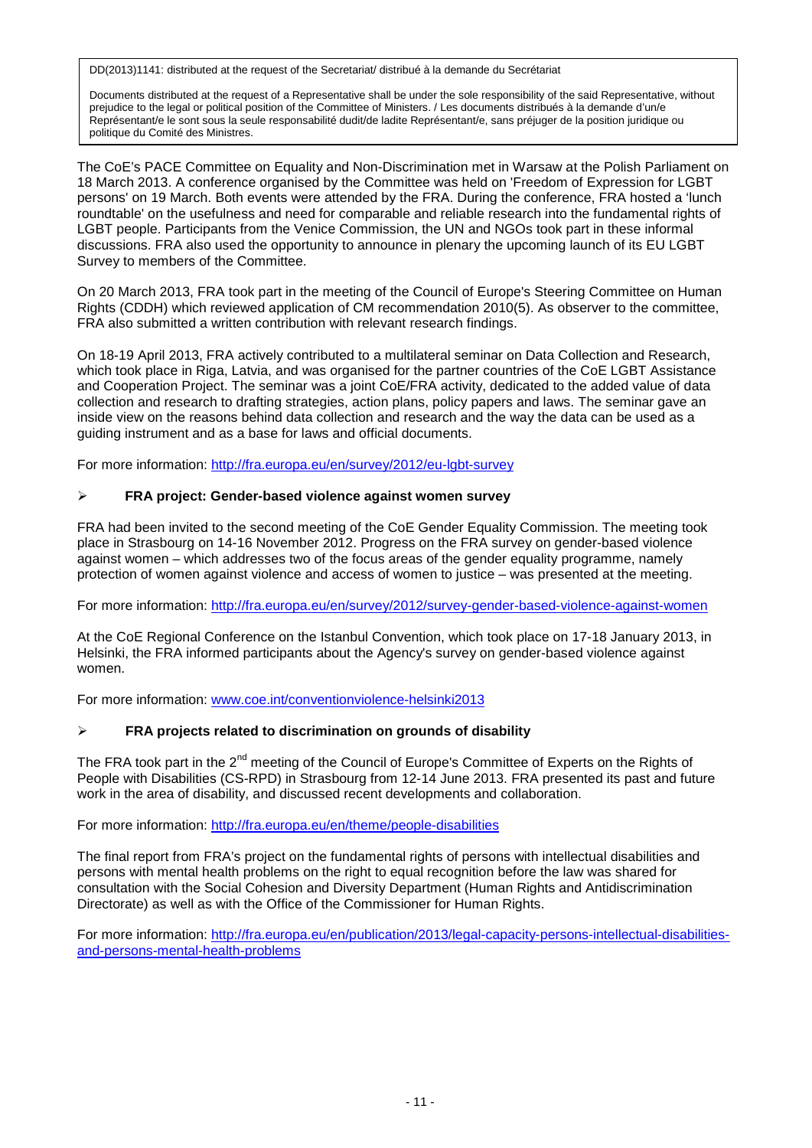Documents distributed at the request of a Representative shall be under the sole responsibility of the said Representative, without prejudice to the legal or political position of the Committee of Ministers. / Les documents distribués à la demande d'un/e Représentant/e le sont sous la seule responsabilité dudit/de ladite Représentant/e, sans préjuger de la position juridique ou politique du Comité des Ministres.

The CoE's PACE Committee on Equality and Non-Discrimination met in Warsaw at the Polish Parliament on 18 March 2013. A conference organised by the Committee was held on 'Freedom of Expression for LGBT persons' on 19 March. Both events were attended by the FRA. During the conference, FRA hosted a 'lunch roundtable' on the usefulness and need for comparable and reliable research into the fundamental rights of LGBT people. Participants from the Venice Commission, the UN and NGOs took part in these informal discussions. FRA also used the opportunity to announce in plenary the upcoming launch of its EU LGBT Survey to members of the Committee.

On 20 March 2013, FRA took part in the meeting of the Council of Europe's Steering Committee on Human Rights (CDDH) which reviewed application of CM recommendation 2010(5). As observer to the committee, FRA also submitted a written contribution with relevant research findings.

On 18-19 April 2013, FRA actively contributed to a multilateral seminar on Data Collection and Research, which took place in Riga, Latvia, and was organised for the partner countries of the CoE LGBT Assistance and Cooperation Project. The seminar was a joint CoE/FRA activity, dedicated to the added value of data collection and research to drafting strategies, action plans, policy papers and laws. The seminar gave an inside view on the reasons behind data collection and research and the way the data can be used as a guiding instrument and as a base for laws and official documents.

For more information: <http://fra.europa.eu/en/survey/2012/eu-lgbt-survey>

## **FRA project: Gender-based violence against women survey**

FRA had been invited to the second meeting of the CoE Gender Equality Commission. The meeting took place in Strasbourg on 14-16 November 2012. Progress on the FRA survey on gender-based violence against women – which addresses two of the focus areas of the gender equality programme, namely protection of women against violence and access of women to justice – was presented at the meeting.

For more information: <http://fra.europa.eu/en/survey/2012/survey-gender-based-violence-against-women>

At the CoE Regional Conference on the Istanbul Convention, which took place on 17-18 January 2013, in Helsinki, the FRA informed participants about the Agency's survey on gender-based violence against women.

For more information: [www.coe.int/conventionviolence-helsinki2013](http://www.coe.int/conventionviolence-helsinki2013)

# **FRA projects related to discrimination on grounds of disability**

The FRA took part in the 2<sup>nd</sup> meeting of the Council of Europe's Committee of Experts on the Rights of People with Disabilities (CS-RPD) in Strasbourg from 12-14 June 2013. FRA presented its past and future work in the area of disability, and discussed recent developments and collaboration.

For more information: <http://fra.europa.eu/en/theme/people-disabilities>

The final report from FRA's project on the fundamental rights of persons with intellectual disabilities and persons with mental health problems on the right to equal recognition before the law was shared for consultation with the Social Cohesion and Diversity Department (Human Rights and Antidiscrimination Directorate) as well as with the Office of the Commissioner for Human Rights.

For more information: [http://fra.europa.eu/en/publication/2013/legal-capacity-persons-intellectual-disabilities](http://fra.europa.eu/en/publication/2013/legal-capacity-persons-intellectual-disabilities-and-persons-mental-health-problems)[and-persons-mental-health-problems](http://fra.europa.eu/en/publication/2013/legal-capacity-persons-intellectual-disabilities-and-persons-mental-health-problems)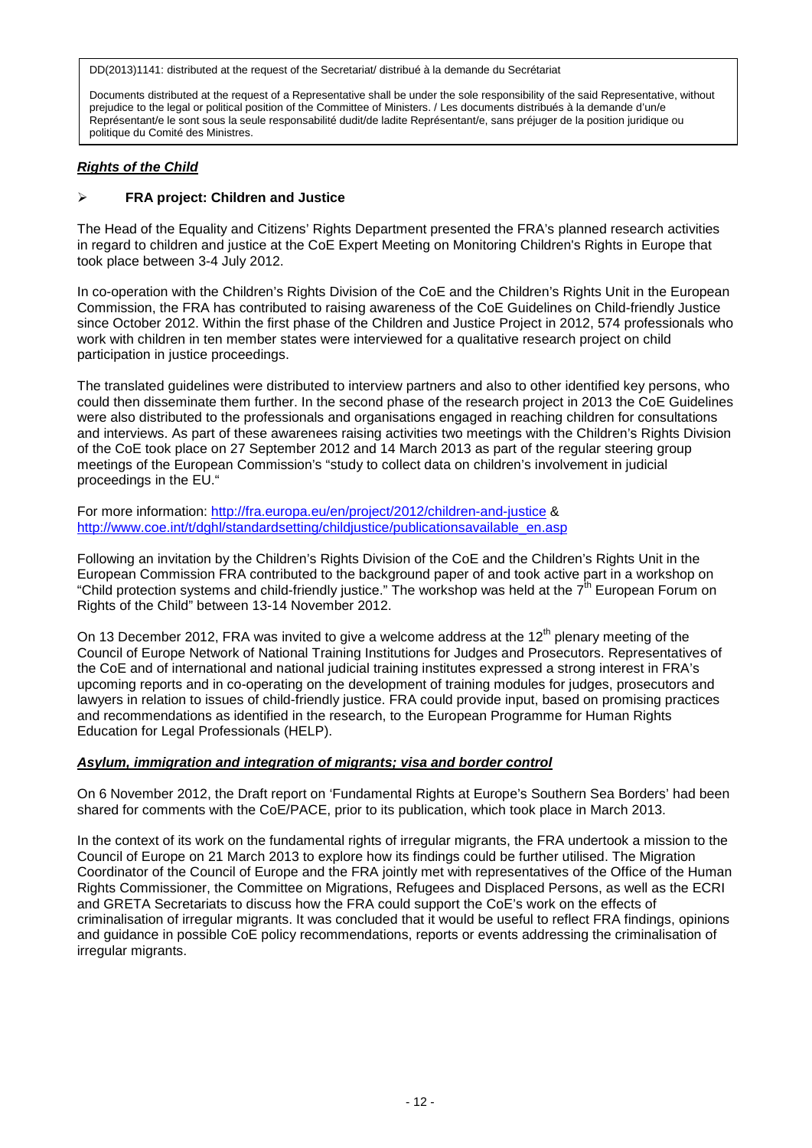Documents distributed at the request of a Representative shall be under the sole responsibility of the said Representative, without prejudice to the legal or political position of the Committee of Ministers. / Les documents distribués à la demande d'un/e Représentant/e le sont sous la seule responsabilité dudit/de ladite Représentant/e, sans préjuger de la position juridique ou politique du Comité des Ministres.

## *Rights of the Child*

# **FRA project: Children and Justice**

The Head of the Equality and Citizens' Rights Department presented the FRA's planned research activities in regard to children and justice at the CoE Expert Meeting on Monitoring Children's Rights in Europe that took place between 3-4 July 2012.

In co-operation with the Children's Rights Division of the CoE and the Children's Rights Unit in the European Commission, the FRA has contributed to raising awareness of the CoE Guidelines on Child-friendly Justice since October 2012. Within the first phase of the Children and Justice Project in 2012, 574 professionals who work with children in ten member states were interviewed for a qualitative research project on child participation in justice proceedings.

The translated guidelines were distributed to interview partners and also to other identified key persons, who could then disseminate them further. In the second phase of the research project in 2013 the CoE Guidelines were also distributed to the professionals and organisations engaged in reaching children for consultations and interviews. As part of these awarenees raising activities two meetings with the Children's Rights Division of the CoE took place on 27 September 2012 and 14 March 2013 as part of the regular steering group meetings of the European Commission's "study to collect data on children's involvement in judicial proceedings in the EU."

For more information: <http://fra.europa.eu/en/project/2012/children-and-justice> & [http://www.coe.int/t/dghl/standardsetting/childjustice/publicationsavailable\\_en.asp](http://www.coe.int/t/dghl/standardsetting/childjustice/publicationsavailable_en.asp)

Following an invitation by the Children's Rights Division of the CoE and the Children's Rights Unit in the European Commission FRA contributed to the background paper of and took active part in a workshop on "Child protection systems and child-friendly justice." The workshop was held at the 7<sup>th</sup> European Forum on Rights of the Child" between 13-14 November 2012.

On 13 December 2012, FRA was invited to give a welcome address at the  $12<sup>th</sup>$  plenary meeting of the Council of Europe Network of National Training Institutions for Judges and Prosecutors. Representatives of the CoE and of international and national judicial training institutes expressed a strong interest in FRA's upcoming reports and in co-operating on the development of training modules for judges, prosecutors and lawyers in relation to issues of child-friendly justice. FRA could provide input, based on promising practices and recommendations as identified in the research, to the European Programme for Human Rights Education for Legal Professionals (HELP).

# *Asylum, immigration and integration of migrants; visa and border control*

On 6 November 2012, the Draft report on 'Fundamental Rights at Europe's Southern Sea Borders' had been shared for comments with the CoE/PACE, prior to its publication, which took place in March 2013.

In the context of its work on the fundamental rights of irregular migrants, the FRA undertook a mission to the Council of Europe on 21 March 2013 to explore how its findings could be further utilised. The Migration Coordinator of the Council of Europe and the FRA jointly met with representatives of the Office of the Human Rights Commissioner, the Committee on Migrations, Refugees and Displaced Persons, as well as the ECRI and GRETA Secretariats to discuss how the FRA could support the CoE's work on the effects of criminalisation of irregular migrants. It was concluded that it would be useful to reflect FRA findings, opinions and guidance in possible CoE policy recommendations, reports or events addressing the criminalisation of irregular migrants.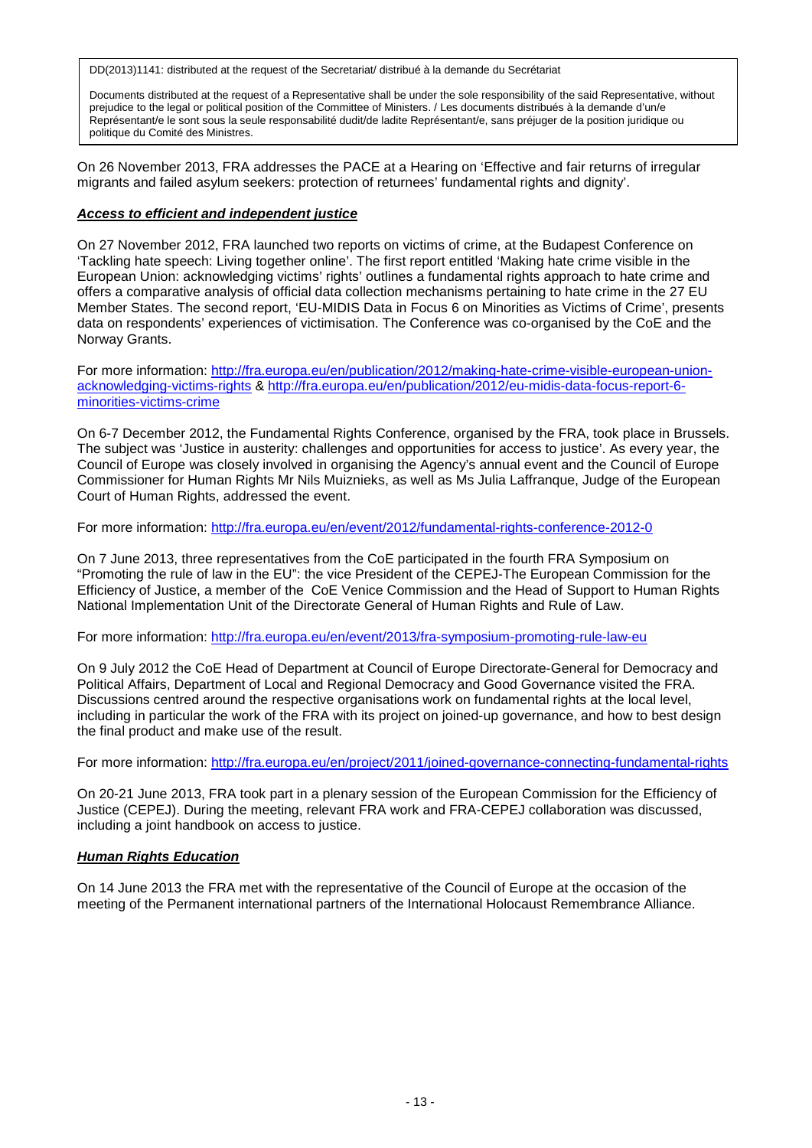Documents distributed at the request of a Representative shall be under the sole responsibility of the said Representative, without prejudice to the legal or political position of the Committee of Ministers. / Les documents distribués à la demande d'un/e Représentant/e le sont sous la seule responsabilité dudit/de ladite Représentant/e, sans préjuger de la position juridique ou politique du Comité des Ministres.

On 26 November 2013, FRA addresses the PACE at a Hearing on 'Effective and fair returns of irregular migrants and failed asylum seekers: protection of returnees' fundamental rights and dignity'.

### *Access to efficient and independent justice*

On 27 November 2012, FRA launched two reports on victims of crime, at the Budapest Conference on 'Tackling hate speech: Living together online'. The first report entitled 'Making hate crime visible in the European Union: acknowledging victims' rights' outlines a fundamental rights approach to hate crime and offers a comparative analysis of official data collection mechanisms pertaining to hate crime in the 27 EU Member States. The second report, 'EU-MIDIS Data in Focus 6 on Minorities as Victims of Crime', presents data on respondents' experiences of victimisation. The Conference was co-organised by the CoE and the Norway Grants.

For more information: [http://fra.europa.eu/en/publication/2012/making-hate-crime-visible-european-union](http://fra.europa.eu/en/publication/2012/making-hate-crime-visible-european-union-acknowledging-victims-rights)[acknowledging-victims-rights](http://fra.europa.eu/en/publication/2012/making-hate-crime-visible-european-union-acknowledging-victims-rights) & [http://fra.europa.eu/en/publication/2012/eu-midis-data-focus-report-6](http://fra.europa.eu/en/publication/2012/eu-midis-data-focus-report-6-minorities-victims-crime) [minorities-victims-crime](http://fra.europa.eu/en/publication/2012/eu-midis-data-focus-report-6-minorities-victims-crime)

On 6-7 December 2012, the Fundamental Rights Conference, organised by the FRA, took place in Brussels. The subject was 'Justice in austerity: challenges and opportunities for access to justice'. As every year, the Council of Europe was closely involved in organising the Agency's annual event and the Council of Europe Commissioner for Human Rights Mr Nils Muiznieks, as well as Ms Julia Laffranque, Judge of the European Court of Human Rights, addressed the event.

For more information: <http://fra.europa.eu/en/event/2012/fundamental-rights-conference-2012-0>

On 7 June 2013, three representatives from the CoE participated in the fourth FRA Symposium on "Promoting the rule of law in the EU": the vice President of the CEPEJ-The European Commission for the Efficiency of Justice, a member of the CoE Venice Commission and the Head of Support to Human Rights National Implementation Unit of the Directorate General of Human Rights and Rule of Law.

For more information: <http://fra.europa.eu/en/event/2013/fra-symposium-promoting-rule-law-eu>

On 9 July 2012 the CoE Head of Department at Council of Europe Directorate-General for Democracy and Political Affairs, Department of Local and Regional Democracy and Good Governance visited the FRA. Discussions centred around the respective organisations work on fundamental rights at the local level, including in particular the work of the FRA with its project on joined-up governance, and how to best design the final product and make use of the result.

For more information: <http://fra.europa.eu/en/project/2011/joined-governance-connecting-fundamental-rights>

On 20-21 June 2013, FRA took part in a plenary session of the European Commission for the Efficiency of Justice (CEPEJ). During the meeting, relevant FRA work and FRA-CEPEJ collaboration was discussed, including a joint handbook on access to justice.

# *Human Rights Education*

On 14 June 2013 the FRA met with the representative of the Council of Europe at the occasion of the meeting of the Permanent international partners of the International Holocaust Remembrance Alliance.